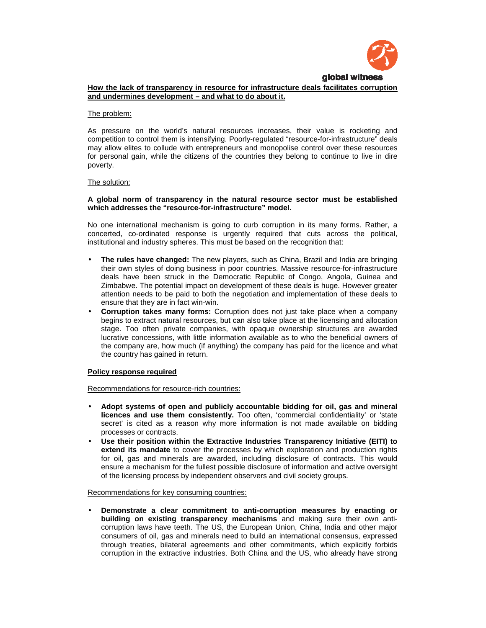

# **How the lack of transparency in resource for infrastructure deals facilitates corruption and undermines development – and what to do about it.**

#### The problem:

As pressure on the world's natural resources increases, their value is rocketing and competition to control them is intensifying. Poorly-regulated "resource-for-infrastructure" deals may allow elites to collude with entrepreneurs and monopolise control over these resources for personal gain, while the citizens of the countries they belong to continue to live in dire poverty.

#### The solution:

#### **A global norm of transparency in the natural resource sector must be established which addresses the "resource-for-infrastructure" model.**

No one international mechanism is going to curb corruption in its many forms. Rather, a concerted, co-ordinated response is urgently required that cuts across the political, institutional and industry spheres. This must be based on the recognition that:

- **The rules have changed:** The new players, such as China, Brazil and India are bringing their own styles of doing business in poor countries. Massive resource-for-infrastructure deals have been struck in the Democratic Republic of Congo, Angola, Guinea and Zimbabwe. The potential impact on development of these deals is huge. However greater attention needs to be paid to both the negotiation and implementation of these deals to ensure that they are in fact win-win.
- **Corruption takes many forms:** Corruption does not just take place when a company begins to extract natural resources, but can also take place at the licensing and allocation stage. Too often private companies, with opaque ownership structures are awarded lucrative concessions, with little information available as to who the beneficial owners of the company are, how much (if anything) the company has paid for the licence and what the country has gained in return.

## **Policy response required**

Recommendations for resource-rich countries:

- **Adopt systems of open and publicly accountable bidding for oil, gas and mineral licences and use them consistently.** Too often, 'commercial confidentiality' or 'state secret' is cited as a reason why more information is not made available on bidding processes or contracts.
- **Use their position within the Extractive Industries Transparency Initiative (EITI) to extend its mandate** to cover the processes by which exploration and production rights for oil, gas and minerals are awarded, including disclosure of contracts. This would ensure a mechanism for the fullest possible disclosure of information and active oversight of the licensing process by independent observers and civil society groups.

#### Recommendations for key consuming countries:

• **Demonstrate a clear commitment to anti-corruption measures by enacting or building on existing transparency mechanisms** and making sure their own anticorruption laws have teeth. The US, the European Union, China, India and other major consumers of oil, gas and minerals need to build an international consensus, expressed through treaties, bilateral agreements and other commitments, which explicitly forbids corruption in the extractive industries. Both China and the US, who already have strong